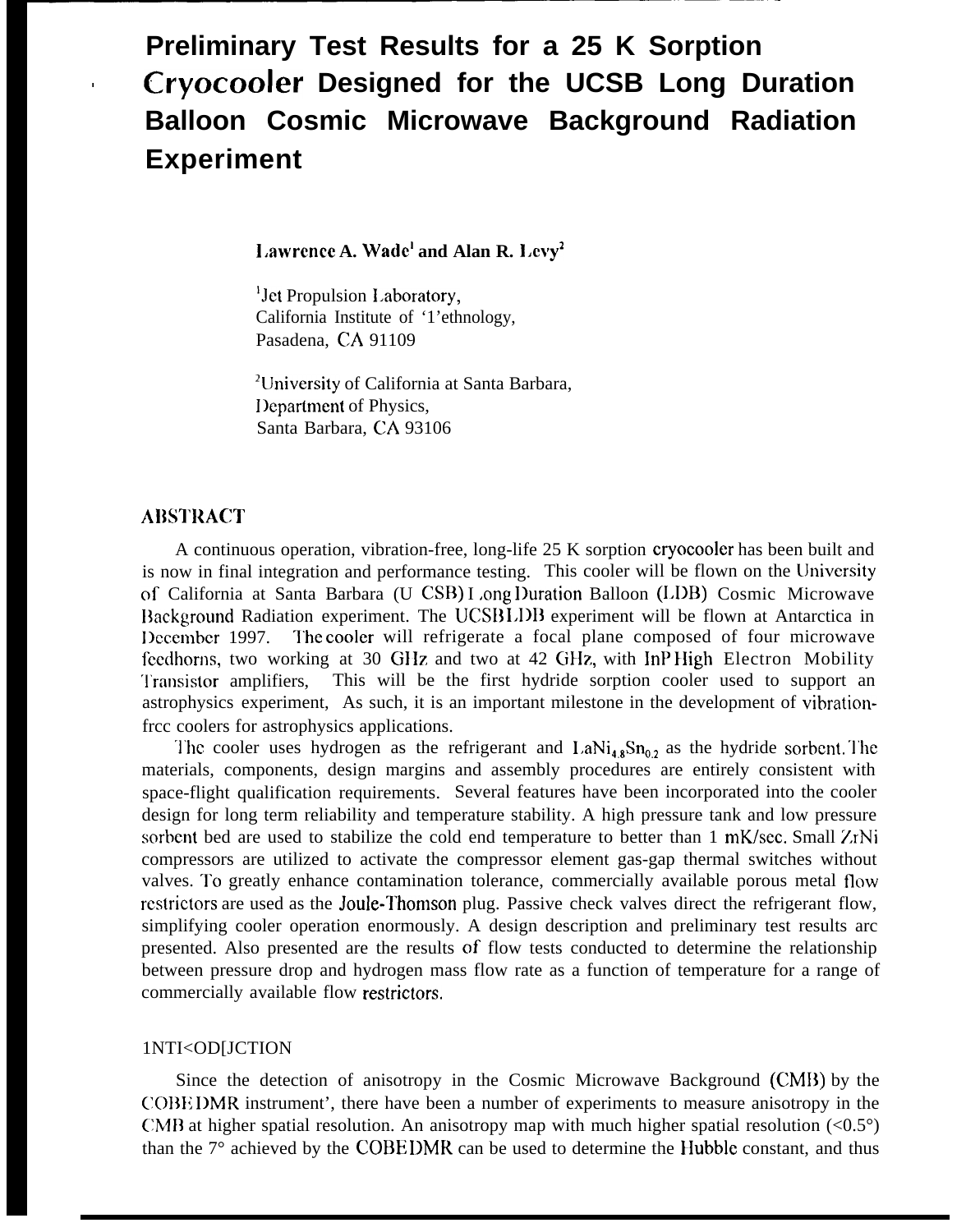# **Preliminary Test Results for a 25 K Sorption . Cryocooler Designed for the UCSB Long Duration Balloon Cosmic Microwave Background Radiation Experiment**

**l.awrcncc A. Wade' and Alan R. 1.cvy2**

'Jet Propulsion I.aboratory, California Institute of '1'ethnology, Pasadena, CA 91109

<sup>2</sup>University of California at Santa Barbara, Department of Physics, Santa Barbara, CA 93106

## **ABSTRACT**

A continuous operation, vibration-free, long-life 25 K sorption cryocooler has been built and is now in final integration and performance testing. This cooler will be flown on the University of California at Santa Barbara (U CSB) Long Duration Balloon (LDB) Cosmic Microwave Background Radiation experiment. The UCSB LDB experiment will be flown at Antarctica in December 1997. The cooler will refrigerate a focal plane composed of four microwave feedhorns, two working at 30 GHz and two at 42 GHz, with InP High Electron Mobility '1'ransistor amplifiers, This will be the first hydride sorption cooler used to support an astrophysics experiment, As such, it is an important milestone in the development of vibrationfrcc coolers for astrophysics applications.

The cooler uses hydrogen as the refrigerant and  $\text{LaNi}_{48}\text{Sn}_{0.2}$  as the hydride sorbent. The materials, components, design margins and assembly procedures are entirely consistent with space-flight qualification requirements. Several features have been incorporated into the cooler design for long term reliability and temperature stability. A high pressure tank and low pressure sorbent bed are used to stabilize the cold end temperature to better than 1 mK/sec. Small ZrNi compressors are utilized to activate the compressor element gas-gap thermal switches without valves. To greatly enhance contamination tolerance, commercially available porous metal flow restrictors are used as the **Joule-Thomson** plug. Passive check valves direct the refrigerant flow, simplifying cooler operation enormously. A design description and preliminary test results arc presented. Also presented are the results of flow tests conducted to determine the relationship between pressure drop and hydrogen mass flow rate as a function of temperature for a range of commercially available flow restrictors,

#### 1NTI<OD[JCTION

Since the detection of anisotropy in the Cosmic Microwave Background (CMB) by the COBE I)MR instrument', there have been a number of experiments to measure anisotropy in the CMB at higher spatial resolution. An anisotropy map with much higher spatial resolution  $\langle 0.5^{\circ} \rangle$ than the 7° achieved by the COBE DMR can be used to determine the Hubble constant, and thus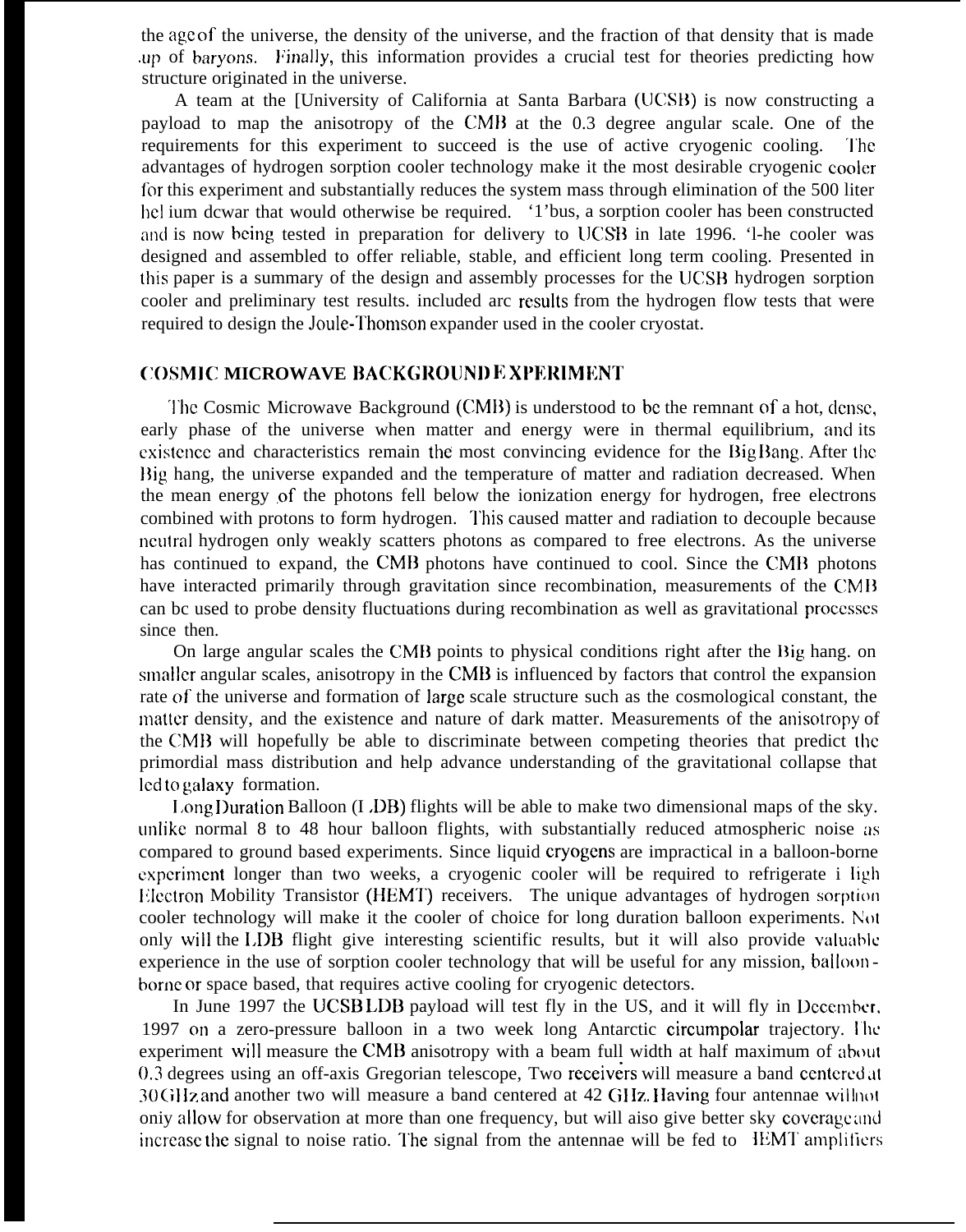the age of the universe, the density of the universe, and the fraction of that density that is made up of baryons. Finally, this information provides a crucial test for theories predicting how structure originated in the universe.

A team at the [University of California at Santa Barbara (UCSB) is now constructing a payload to map the anisotropy of the CMD at the 0.3 degree angular scale. One of the requirements for this experiment to succeed is the use of active cryogenic cooling. '1'hc advantages of hydrogen sorption cooler technology make it the most desirable cryogenic cooler for this experiment and substantially reduces the system mass through elimination of the 500 liter hel ium dcwar that would otherwise be required. '1'bus, a sorption cooler has been constructed and is now being tested in preparation for delivery to UCSB in late 1996. '1-he cooler was designed and assembled to offer reliable, stable, and efficient long term cooling. Presented in this paper is a summary of the design and assembly processes for the LJCSH hydrogen sorption cooler and preliminary test results. included arc rcsuhs from the hydrogen flow tests that were required to design the Joule-Thomson expander used in the cooler cryostat.

# **COSMIC MICROWAVE BACKGROUND EXPERIMENT**

The Cosmic Microwave Background (CMB) is understood to be the remnant of a hot, dense, early phase of the universe when matter and energy were in thermal equilibrium, and its existence and characteristics remain the most convincing evidence for the Big Bang. After the Big hang, the universe expanded and the temperature of matter and radiation decreased. When the mean energy of the photons fell below the ionization energy for hydrogen, free electrons combined with protons to form hydrogen. 'l'his caused matter and radiation to decouple because nculral hydrogen only weakly scatters photons as compared to free electrons. As the universe has continued to expand, the CMB photons have continued to cool. Since the CMB photons have interacted primarily through gravitation since recombination, measurements of the CMB can bc used to probe density fluctuations during recombination as well as gravitational proccsscs since then.

On large angular scales the CMB points to physical conditions right after the Big hang. on smaller angular scales, anisotropy in the CMB is influenced by factors that control the expansion rate of the universe and formation of large scale structure such as the cosmological constant, the matter density, and the existence and nature of dark matter. Measurements of the anisotropy of the CMB will hopefully be able to discriminate between competing theories that predict the primordial mass distribution and help advance understanding of the gravitational collapse that led to galaxy formation.

1,ong I)uration Balloon (I .DB) flights will be able to make two dimensional maps of the sky. uniike normal 8 to 48 hour balloon flights, with substantially reduced atmospheric noise as compared to ground based experiments. Since liquid cryogcns are impractical in a balloon-borne cxpcrimcnt longer than two weeks, a cryogenic cooler will be required to refrigerate i ligh Electron Mobility Transistor (HEMT) receivers. The unique advantages of hydrogen sorption cooler technology will make it the cooler of choice for long duration balloon experiments. h'ot only will the LDB flight give interesting scientific results, but it will also provide valuable experience in the use of sorption cooler technology that will be useful for any mission, balloon bornc or space based, that requires active cooling for cryogenic detectors.

In June 1997 the UCSB LDB payload will test fly in the US, and it will fly in December. 1997 on a zero-pressure balloon in a two week long Antarctic circumpolar trajectory. The experiment will measure the CMB anisotropy with a beam full width at half maximum of about  $0.3$  degrees using an off-axis Gregorian telescope, Two receivers will measure a band centered at 30 GHz and another two will measure a band centered at 42 GHz. Having four antennae willnot oniy allow for observation at more than one frequency, but will aiso give better sky coverage and increase the signal to noise ratio. The signal from the antennae will be fed to  $\pm$ EMT amplifiers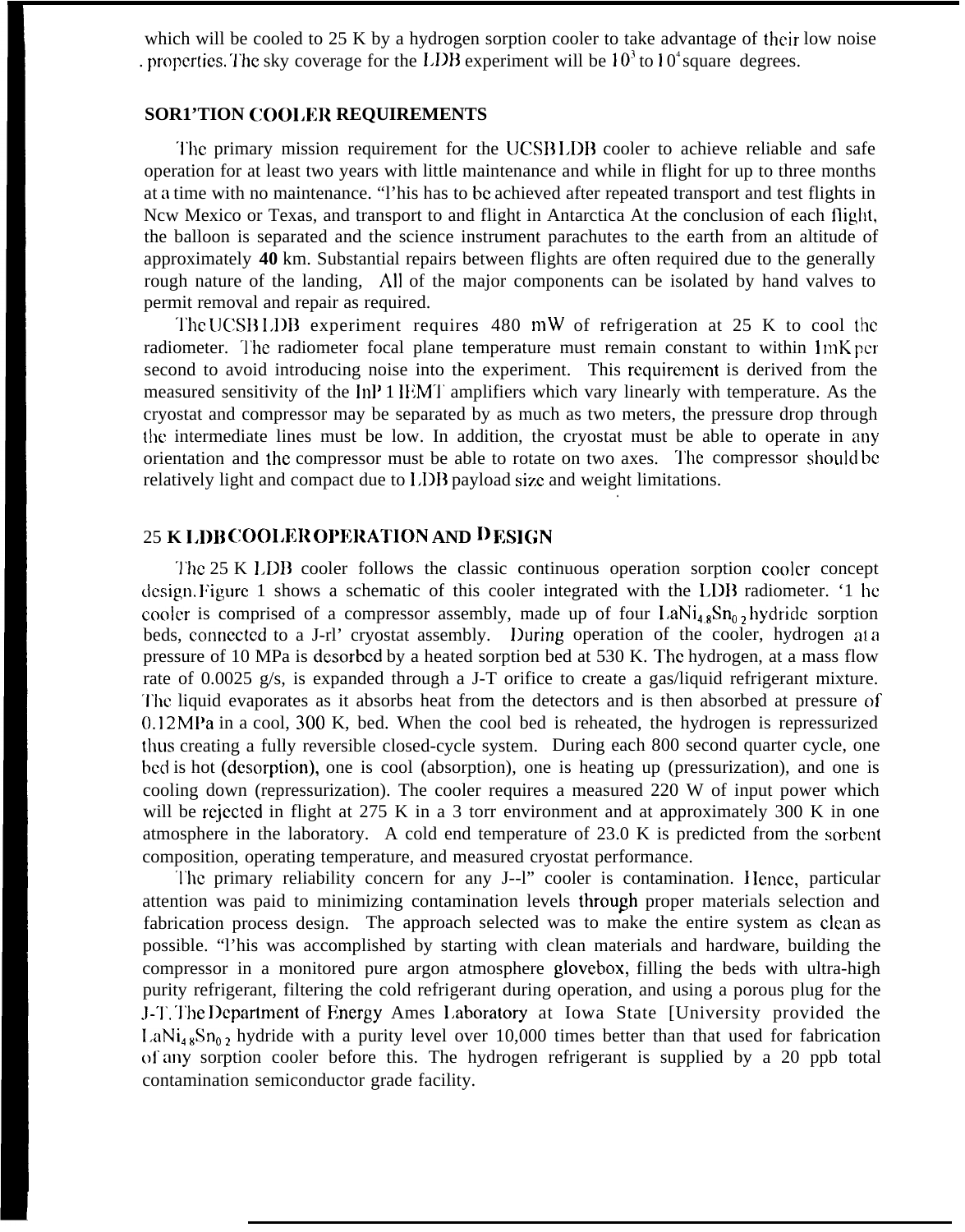which will be cooled to 25 K by a hydrogen sorption cooler to take advantage of their low noise . properties. The sky coverage for the LDB experiment will be  $10<sup>3</sup>$  to  $10<sup>4</sup>$  square degrees.

## **SOR1'TION COOI,ER REQUIREMENTS**

The primary mission requirement for the UCSB LDB cooler to achieve reliable and safe operation for at least two years with little maintenance and while in flight for up to three months at a time with no maintenance. "l'his has to bc achieved after repeated transport and test flights in Ncw Mexico or Texas, and transport to and flight in Antarctica At the conclusion of each flight, the balloon is separated and the science instrument parachutes to the earth from an altitude of approximately **40** km. Substantial repairs between flights are often required due to the generally rough nature of the landing, All of the major components can be isolated by hand valves to permit removal and repair as required.

The UCSB 1, IDB experiment requires 480 mW of refrigeration at 25 K to cool the radiometer. The radiometer focal plane temperature must remain constant to within  $1 mK$  per second to avoid introducing noise into the experiment. This requirement is derived from the measured sensitivity of the lnP 1 IEMT amplifiers which vary linearly with temperature. As the cryostat and compressor may be separated by as much as two meters, the pressure drop through the intermediate lines must be low. In addition, the cryostat must be able to operate in any orientation and the compressor must be able to rotate on two axes. '1'he compressor shou]d bc relatively light and compact due to LDB payload size and weight limitations. .

# 25 **K 1.1)11 COOI,ER OI)ERATION AND l) ESI{;N**

'J'hc 25 K I,DB cooler follows the classic continuous operation sorption cooler concept design. Figure 1 shows a schematic of this cooler integrated with the LDB radiometer. '1 he cooler is comprised of a compressor assembly, made up of four  $\text{LaNi}_{4} \text{sSn}_{0}$ , hydride sorption beds, connected to a J-rl' cryostat assembly. During operation of the cooler, hydrogen at a pressure of 10 MPa is desorbed by a heated sorption bed at 530 K. The hydrogen, at a mass flow rate of 0.0025 g/s, is expanded through a J-T orifice to create a gas/liquid refrigerant mixture. '1'he liquid evaporates as it absorbs heat from the detectors and is then absorbed at pressure of 0.12 MPa in a cool, 300 K, bed. When the cool bed is reheated, the hydrogen is repressurized ihus creating a fully reversible closed-cycle system. During each 800 second quarter cycle, one bed is hot (desorption), one is cool (absorption), one is heating up (pressurization), and one is cooling down (repressurization). The cooler requires a measured 220 W of input power which will be rejected in flight at 275 K in a 3 torr environment and at approximately 300 K in one atmosphere in the laboratory. A cold end temperature of 23.0 K is predicted from the sorbcnt composition, operating temperature, and measured cryostat performance.

The primary reliability concern for any J--l" cooler is contamination. Hence, particular attention was paid to minimizing contamination levels through proper materials selection and fabrication process design. The approach selected was to make the entire system as clean as possible. "l'his was accomplished by starting with clean materials and hardware, building the compressor in a monitored pure argon atmosphere glovebox, filling the beds with ultra-high purity refrigerant, filtering the cold refrigerant during operation, and using a porous plug for the J-']'. '1'he I)cpartment of Energy Ames I,aboratory at Iowa State [University provided the  $LaNi<sub>48</sub>Sn<sub>0.2</sub>$  hydride with a purity level over 10,000 times better than that used for fabrication of any sorption cooler before this. The hydrogen refrigerant is supplied by a 20 ppb total contamination semiconductor grade facility.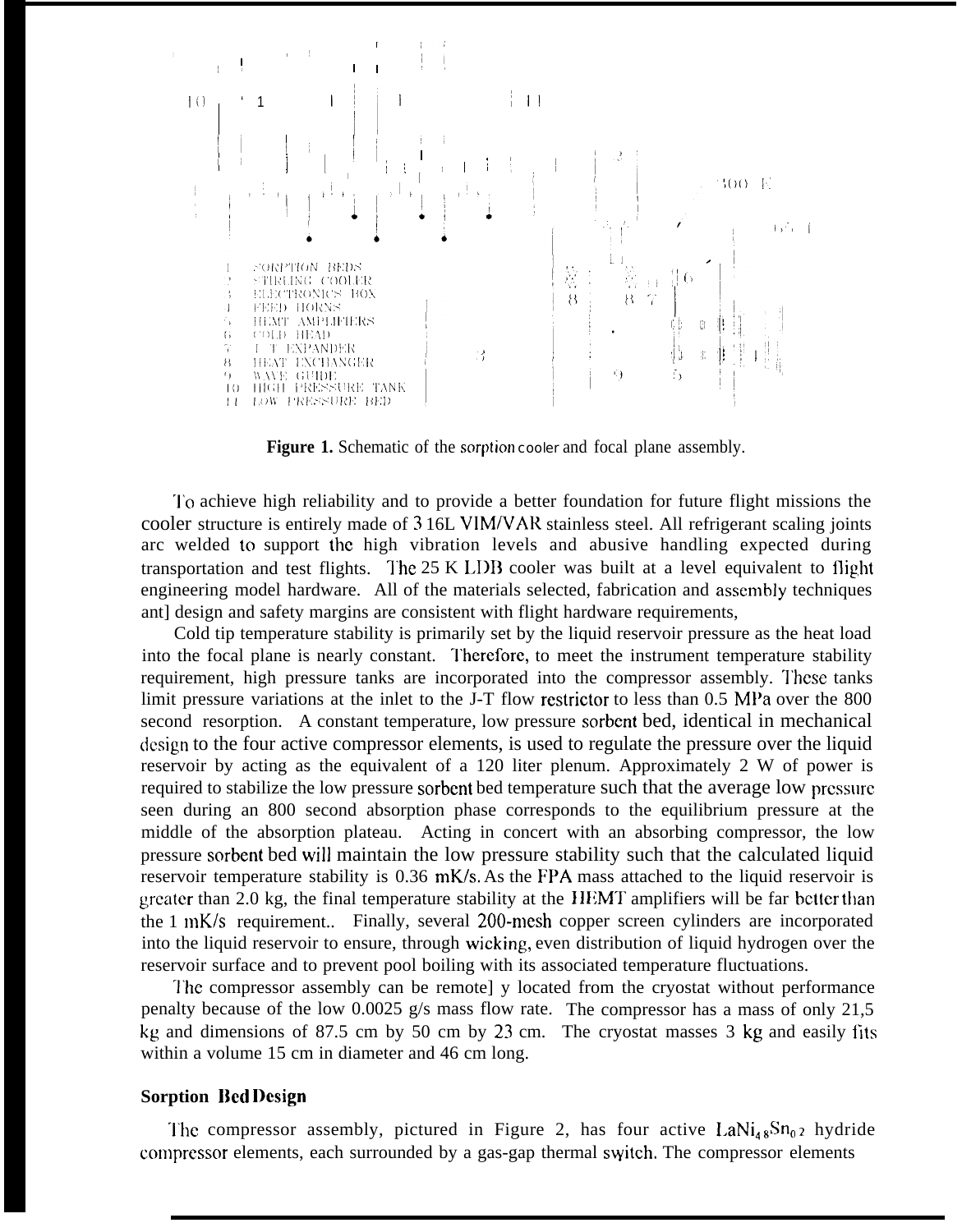

Figure 1. Schematic of the sorption cooler and focal plane assembly.

'1'o achieve high reliability and to provide a better foundation for future flight missions the cooler structure is entirely made of 3 16L VIM/VAR stainless steel. All refrigerant scaling joints arc welded to support the high vibration levels and abusive handling expected during transportation and test flights. The  $25 K$  LDB cooler was built at a level equivalent to flight engineering model hardware. All of the materials selected, fabrication and assembly techniques ant] design and safety margins are consistent with flight hardware requirements,

Cold tip temperature stability is primarily set by the liquid reservoir pressure as the heat load into the focal plane is nearly constant. '1'herefore, to meet the instrument temperature stability requirement, high pressure tanks are incorporated into the compressor assembly. I'hese tanks limit pressure variations at the inlet to the J-T flow restrictor to less than 0.5 MPa over the 800 second resorption. A constant temperature, low pressure sorbent bed, identical in mechanical (icsign to the four active compressor elements, is used to regulate the pressure over the liquid reservoir by acting as the equivalent of a 120 liter plenum. Approximately 2 W of power is required to stabilize the low pressure sorbent bed temperature such that the average low pressure seen during an 800 second absorption phase corresponds to the equilibrium pressure at the middle of the absorption plateau. Acting in concert with an absorbing compressor, the low pressure sorbent bed will maintain the low pressure stability such that the calculated liquid reservoir temperature stability is 0.36 mK/s. As the FPA mass attached to the liquid reservoir is greater than 2.0 kg, the final temperature stability at the HEMT amplifiers will be far better than the 1 mK/s requirement.. Finally, several 200-mesh copper screen cylinders are incorporated into the liquid reservoir to ensure, through wicking, even distribution of liquid hydrogen over the reservoir surface and to prevent pool boiling with its associated temperature fluctuations.

The compressor assembly can be remote] y located from the cryostat without performance penalty because of the low 0.0025 g/s mass flow rate. The compressor has a mass of only 21,5 kg and dimensions of 87.5 cm by 50 cm by 23 cm. The cryostat masses 3 kg and easily fits within a volume 15 cm in diameter and 46 cm long.

## **Sorption Bed Design**

The compressor assembly, pictured in Figure 2, has four active  $\text{LaNi}_{48}\text{Sn}_{02}$  hydride compressor elements, each surrounded by a gas-gap thermal switch. The compressor elements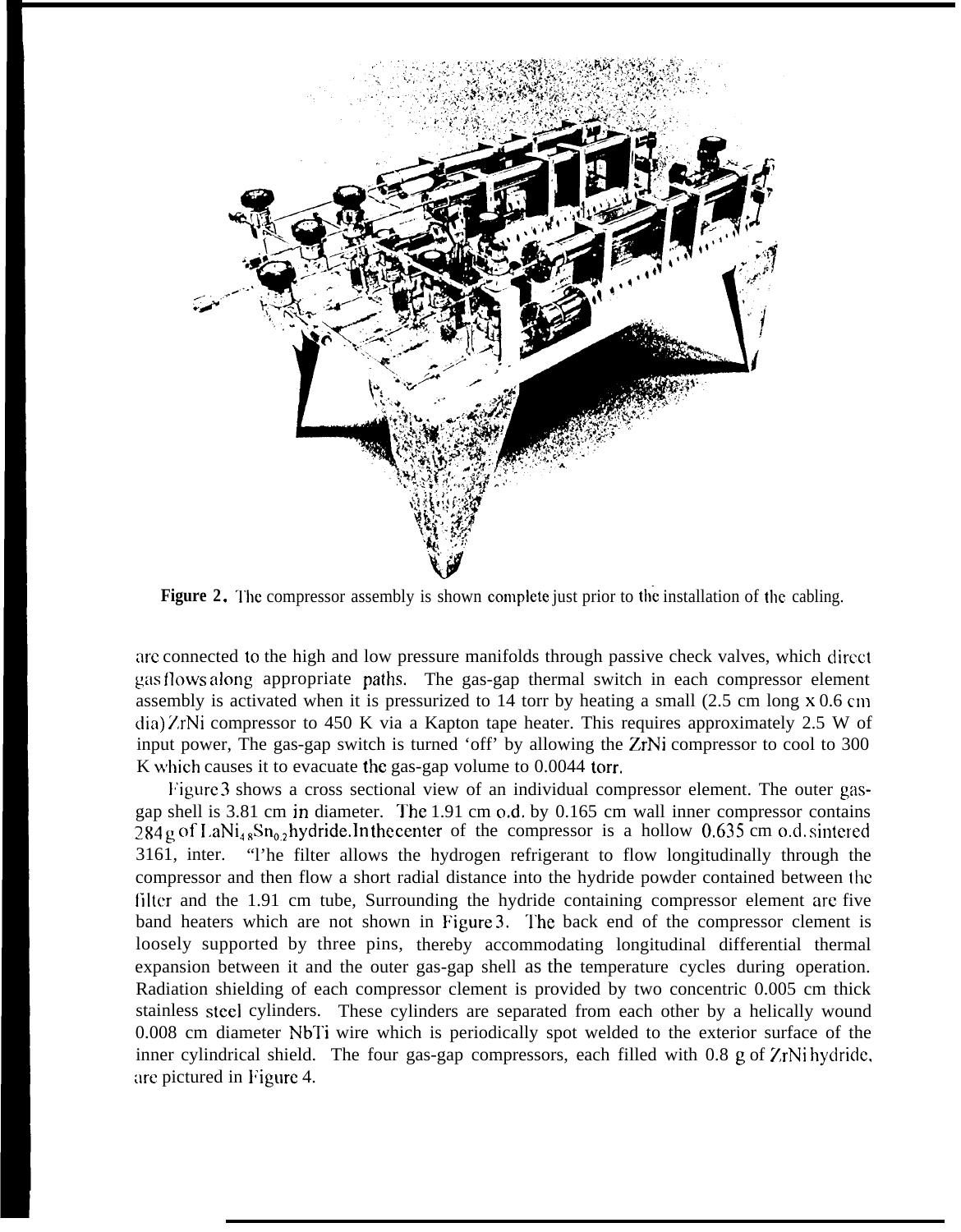

**Figure 2.** The compressor assembly is shown complete just prior to the installation of the cabling.

arc connected to the high and low pressure manifolds through passive check valves, which direct gas flows along appropriate paths. The gas-gap thermal switch in each compressor element assembly is activated when it is pressurized to 14 torr by heating a small (2.5 cm long x 0.6 cm dia) 7,rNi compressor to 450 K via a Kapton tape heater. This requires approximately 2.5 W of input power, The gas-gap switch is turned 'off' by allowing the ZrNi compressor to cool to 300 K which causes it to evacuate the gas-gap volume to 0.0044 torr.

Figure 3 shows a cross sectional view of an individual compressor element. The outer gasgap shell is  $3.81$  cm in diameter. The 1.91 cm o.d. by  $0.165$  cm wall inner compressor contains ~~4 g of I,aNii \*Sn02 **hydride. ]n the center** of the compressor is a hollow 0,635 cm o.d. sintered 3161, inter. "l'he filter allows the hydrogen refrigerant to flow longitudinally through the compressor and then flow a short radial distance into the hydride powder contained between the filter and the 1.91 cm tube, Surrounding the hydride containing compressor element are five band heaters which are not shown in Figure 3. The back end of the compressor clement is loosely supported by three pins, thereby accommodating longitudinal differential thermal expansion between it and the outer gas-gap shell as the temperature cycles during operation. Radiation shielding of each compressor clement is provided by two concentric 0.005 cm thick stainless steel cylinders. These cylinders are separated from each other by a helically wound 0.008 cm diameter NbTi wire which is periodically spot welded to the exterior surface of the inner cylindrical shield. The four gas-gap compressors, each filled with 0.8 g of  $\chi$ rNi hydride, are pictured in Figure 4.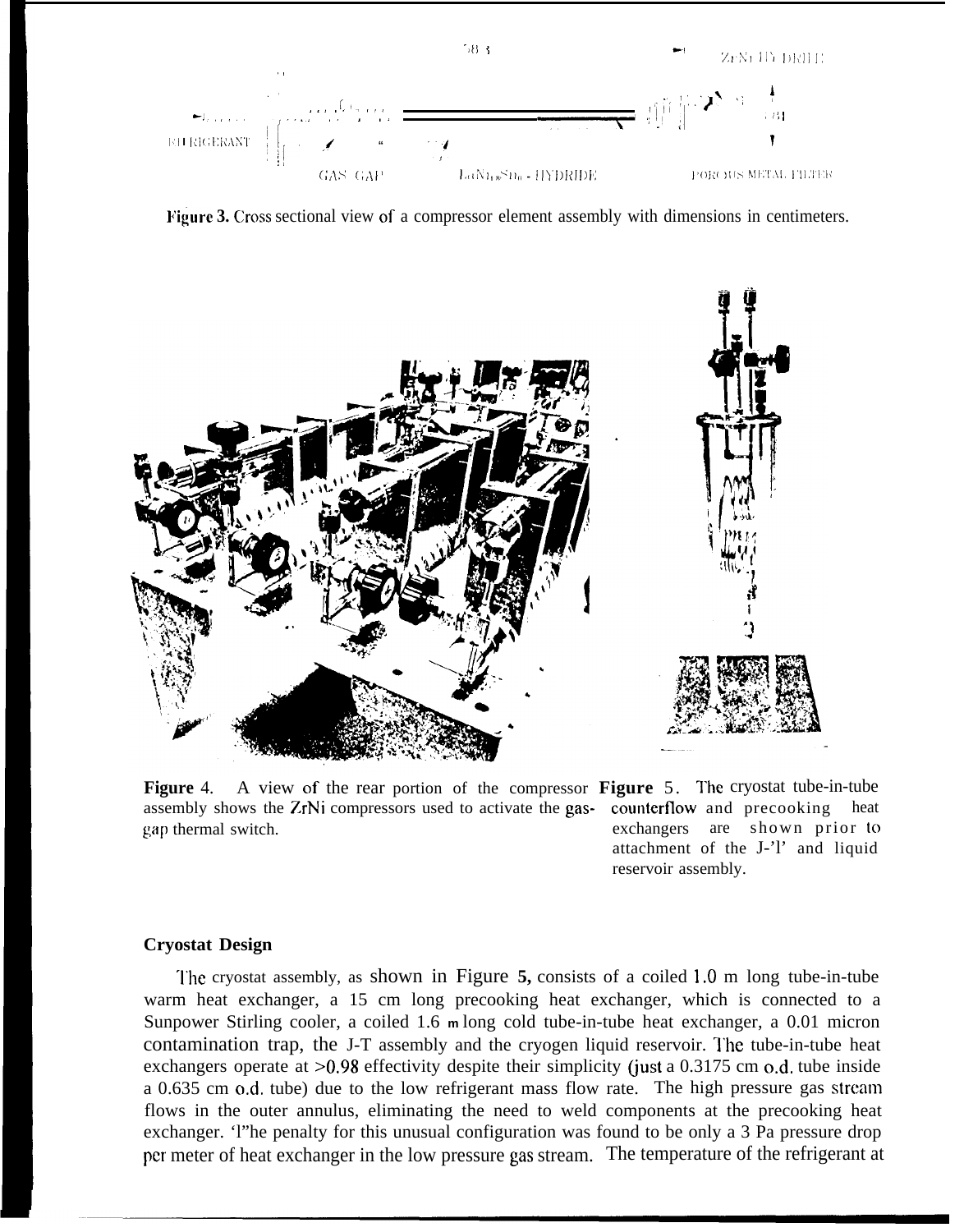

**lacktrianglerigies 3. Cross sectional view of a compressor element assembly with dimensions in centimeters.** 



**Figure** 4. A view of the rear portion of the compressor **Figure** 5. The cryostat tube-in-tube assembly shows the 7.rNi compressors used to activate the gas- counterflow and precooking heat gap thermal switch. exchangers are shown prior to

attachment of the J-'l' and liquid reservoir assembly.

## **Cryostat Design**

'1'he cryostat assembly, as shown in Figure **5,** consists of a coiled 1,0 m long tube-in-tube warm heat exchanger, a 15 cm long precooking heat exchanger, which is connected to a Sunpower Stirling cooler, a coiled 1.6 **<sup>m</sup>**long cold tube-in-tube heat exchanger, a 0.01 micron contamination trap, the J-T assembly and the cryogen liquid reservoir. The tube-in-tube heat exchangers operate at  $>0.98$  effectivity despite their simplicity (just a 0.3175 cm o.d. tube inside a 0.635 cm o.d. tube) due to the low refrigerant mass flow rate. The high pressure gas stream flows in the outer annulus, eliminating the need to weld components at the precooking heat exchanger. 'l"he penalty for this unusual configuration was found to be only a 3 Pa pressure drop pcr meter of heat exchanger in the low pressure gas stream. The temperature of the refrigerant at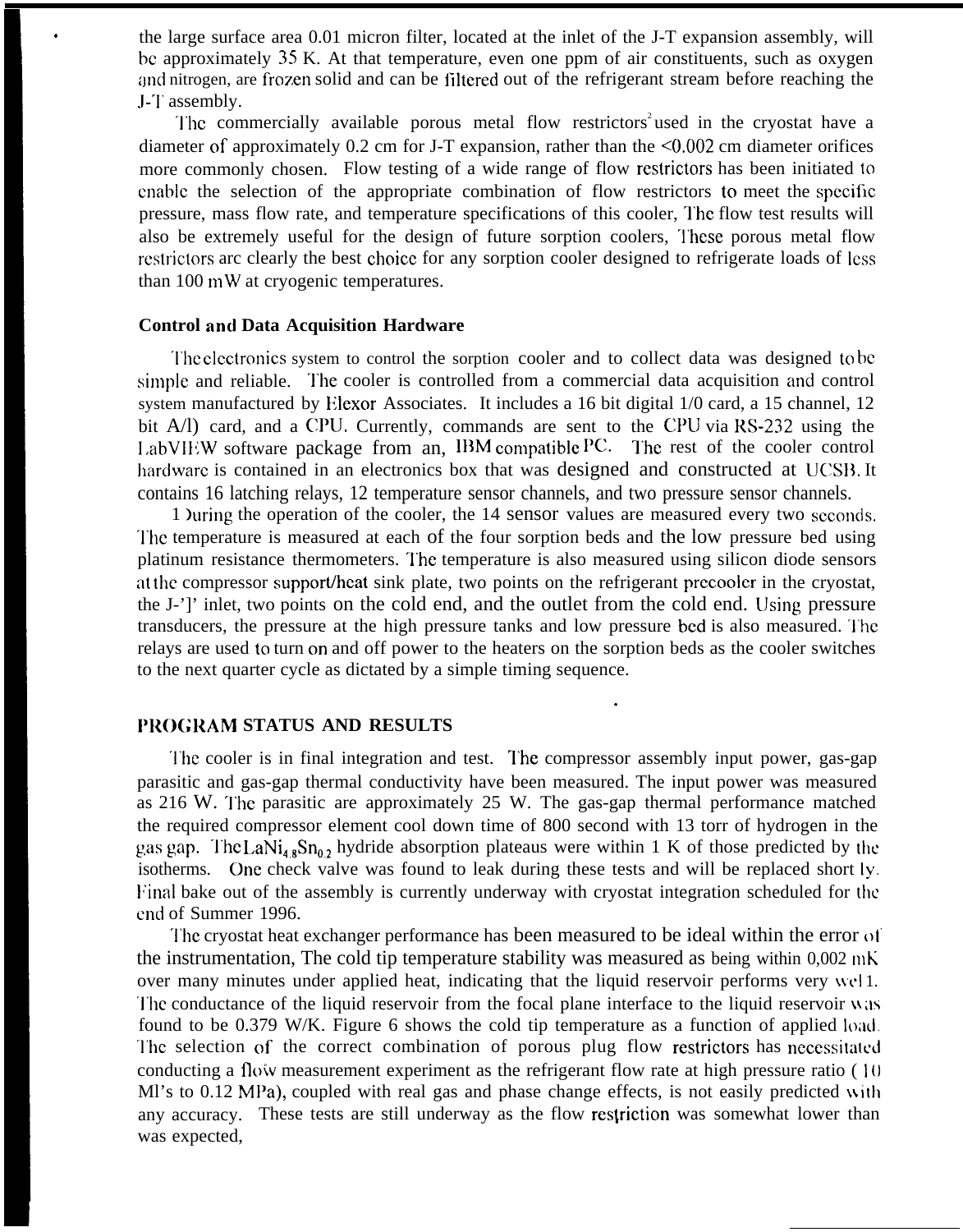the large surface area 0.01 micron filter, located at the inlet of the J-T expansion assembly, will bc approximately 35 K. At that temperature, even one ppm of air constituents, such as oxygen and nitrogen, are frozen solid and can be filtered out of the refrigerant stream before reaching the .I-'1' assembly.

The commercially available porous metal flow restrictors<sup>2</sup>used in the cryostat have a diameter of approximately 0.2 cm for J-T expansion, rather than the <0.002 cm diameter orifices more commonly chosen. Flow testing of a wide range of flow restrictors has been initiated to enable the selection of the appropriate combination of flow restrictors to meet the specific pressure, mass flow rate, and temperature specifications of this cooler, l'hc flow test results will also be extremely useful for the design of future sorption coolers, These porous metal flow restrictors arc clearly the best choice for any sorption cooler designed to refrigerate loads of less than  $100 \text{ mW}$  at cryogenic temperatures.

#### **Control and Data Acquisition Hardware**

.

The electronics system to control the sorption cooler and to collect data was designed to be simple and reliable. The cooler is controlled from a commercial data acquisition and control system manufactured by Eiexor Associates. It includes a 16 bit digital 1/0 card, a 15 channel, 12 bit  $A/I$ ) card, and a CPU. Currently, commands are sent to the CPU via  $RS-232$  using the LabVIEW software package from an, IBM compatible  $PC$ . The rest of the cooler control hardware is contained in an electronics box that was designed and constructed at UCSB. It contains 16 latching relays, 12 temperature sensor channels, and two pressure sensor channels.

1 )uring the operation of the cooler, the 14 sensor values are measured every two seconds. ']'hc temperature is measured at each of the four sorption beds and the low pressure bed using platinum resistance thermometers. 'l'he temperature is also measured using silicon diode sensors at the compressor support/heat sink plate, two points on the refrigerant precooler in the cryostat, the J-']' inlet, two points on the cold end, and the outlet from the cold end. Using pressure transducers, the pressure at the high pressure tanks and low pressure bed is also measured. The relays are used to turn cm and off power to the heaters on the sorption beds as the cooler switches to the next quarter cycle as dictated by a simple timing sequence.

.

#### **1'ROGRAM STATUS AND RESULTS**

The cooler is in final integration and test. The compressor assembly input power, gas-gap parasitic and gas-gap thermal conductivity have been measured. The input power was measured as 216 W. The parasitic are approximately 25 W. The gas-gap thermal performance matched the required compressor element cool down time of 800 second with 13 torr of hydrogen in the gas gap. The LaNi<sub>48</sub>Sn<sub>0</sub>, hydride absorption plateaus were within 1 K of those predicted by the isotherms. One check valve was found to leak during these tests and will be replaced short ly. P'inal bake out of the assembly is currently underway with cryostat integration scheduled for the cnd of Summer 1996.

The cryostat heat exchanger performance has been measured to be ideal within the error of the instrumentation, The cold tip temperature stability was measured as being within  $0.002 \text{ mK}$ over many minutes under applied heat, indicating that the liquid reservoir performs very well. The conductance of the liquid reservoir from the focal plane interface to the liquid reservoir was found to be  $0.379$  W/K. Figure 6 shows the cold tip temperature as a function of applied load. The selection of the correct combination of porous plug flow restrictors has necessitated conducting a floiv measurement experiment as the refrigerant flow rate at high pressure ratio ( I{) Ml's to  $0.12$  MPa), coupled with real gas and phase change effects, is not easily predicted with any accuracy. These tests are still underway as the flow restriction was somewhat lower than was expected,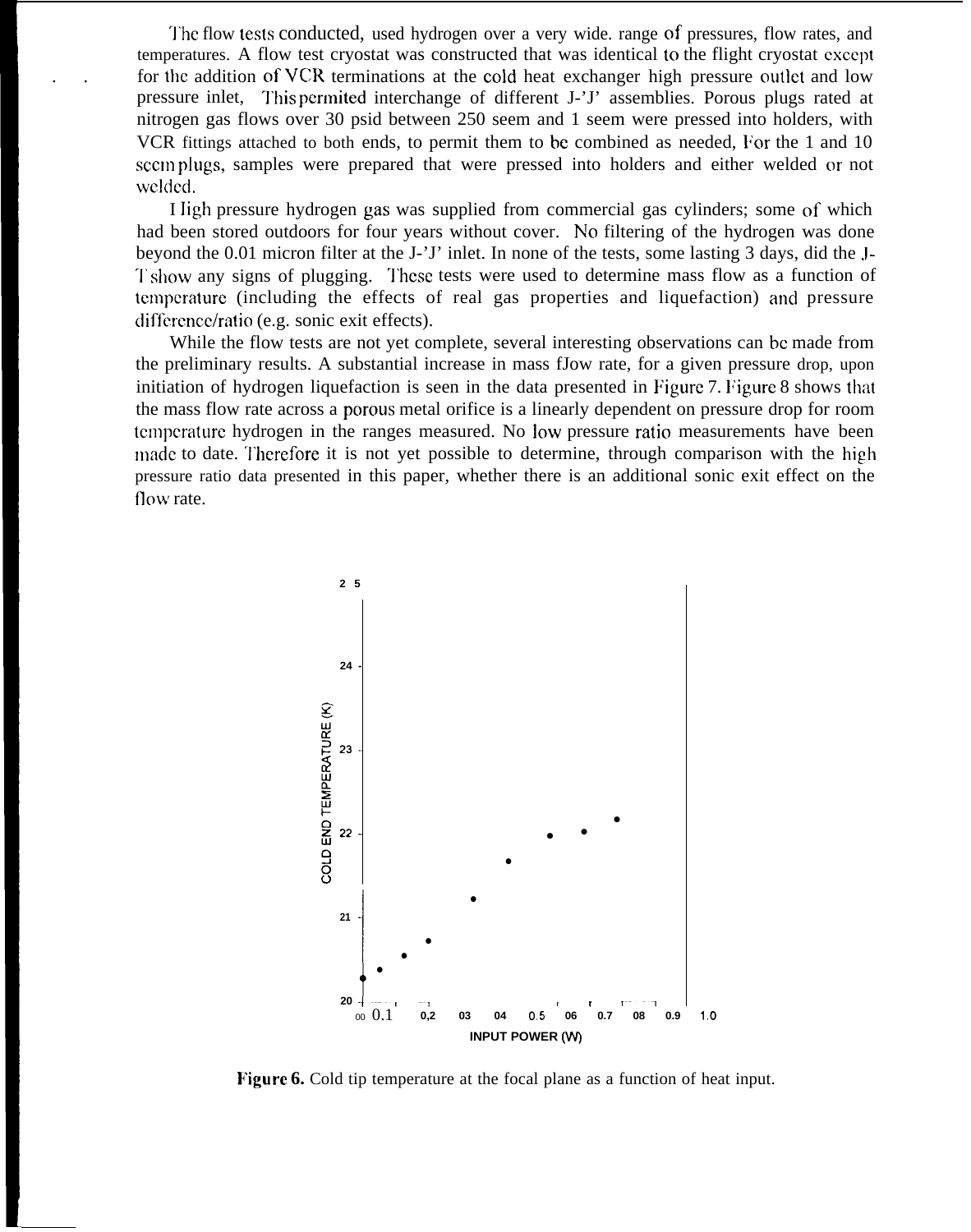The flow tests conducted, used hydrogen over a very wide, range of pressures, flow rates, and temperatures. A flow test cryostat was constructed that was identical to the flight cryostat except for the addition of VCR terminations at the cold heat exchanger high pressure outlet and low pressure inlet, This permited interchange of different J-'J' assemblies. Porous plugs rated at nitrogen gas flows over 30 psid between 250 seem and 1 seem were pressed into holders, with VCR fittings attached to both ends, to permit them to be combined as needed. For the 1 and 10 sccim plugs, samples were prepared that were pressed into holders and either welded or not Wc]ded.

I Jigh pressure hydrogen gas was supplied from commercial gas cylinders; some of which had been stored outdoors for four years without cover. No filtering of the hydrogen was done beyond the 0.01 micron filter at the J-'J' inlet. In none of the tests, some lasting 3 days, did the J-T show any signs of plugging. These tests were used to determine mass flow as a function of temperature (including the effects of real gas properties and liquefaction) and pressure difference/ratio (e.g. sonic exit effects).

While the flow tests are not yet complete, several interesting observations can be made from the preliminary results. A substantial increase in mass fJow rate, for a given pressure drop, upon initiation of hydrogen liquefaction is seen in the data presented in Figure 7. Figure 8 shows that the mass flow rate across a porous metal orifice is a linearly dependent on pressure drop for room tcmpcraturc hydrogen in the ranges measured. No low pressure ratio measurements have been made to date. Therefore it is not yet possible to determine, through comparison with the high pressure ratio data presented in this paper, whether there is an additional sonic exit effect on the flow rate.



**Figure 6.** Cold tip temperature at the focal plane as a function of heat input.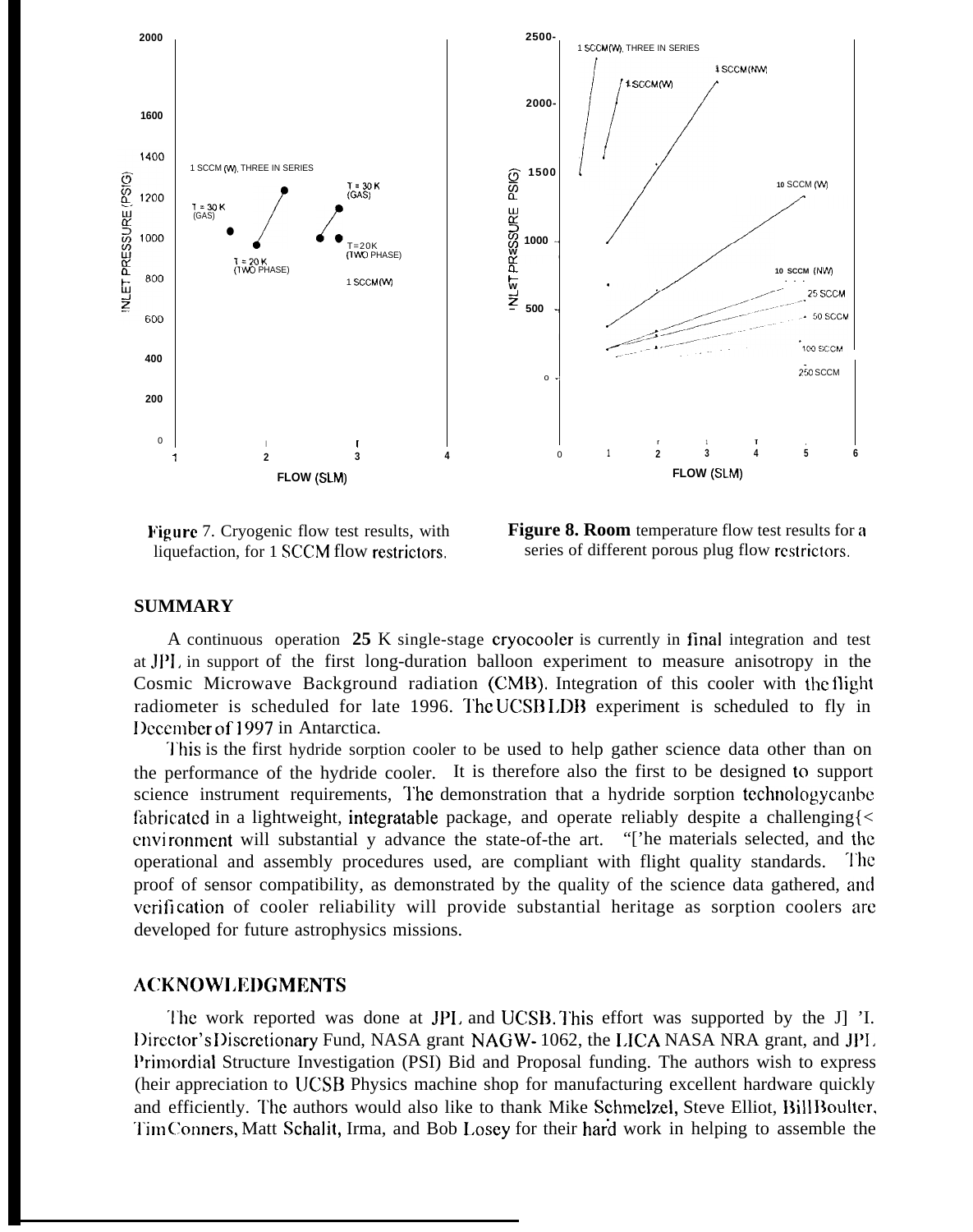

**Figure** 7. Cryogenic flow test results, with liquefaction, for 1 SCCM flow restrictors.

**Figure 8. Room** temperature flow test results for a series of different porous plug flow rcstrictors.

#### **SUMMARY**

A continuous operation **25** K single-stage cryocooler is currently in final integration and test at Jf)l, in support of the first long-duration balloon experiment to measure anisotropy in the Cosmic Microwave Background radiation (CMB). Integration of this cooler with the flight radiometer is scheduled for late 1996. The UCSB LDB experiment is scheduled to fly in December of 1997 in Antarctica.

This is the first hydride sorption cooler to be used to help gather science data other than on the performance of the hydride cooler. It is therefore also the first to be designed to support science instrument requirements, The demonstration that a hydride sorption technologycanbe fabricated in a lightweight, integratable package, and operate reliably despite a challenging  $\leq$ cnvi ronment will substantial y advance the state-of-the art. "['he materials selected, and the operational and assembly procedures used, are compliant with flight quality standards. '1'hc proof of sensor compatibility, as demonstrated by the quality of the science data gathered, anti verification of cooler reliability will provide substantial heritage as sorption coolers are developed for future astrophysics missions.

## **ACKNOWI.EDGMENTS**

'1'he work reported was done at JPI. and UCSB. I'his effort was supported by the J] 'I. Director's Discretionary Fund, NASA grant NAGW- 1062, the LICA NASA NRA grant, and JPL Primordial Structure Investigation (PSI) Bid and Proposal funding. The authors wish to express (heir appreciation to UCSB Physics machine shop for manufacturing excellent hardware quickly and efficiently. The authors would also like to thank Mike Schmelzel, Steve Elliot, Bill Boulter, Tim Conners, Matt Schalit, Irma, and Bob Losey for their hard work in helping to assemble the